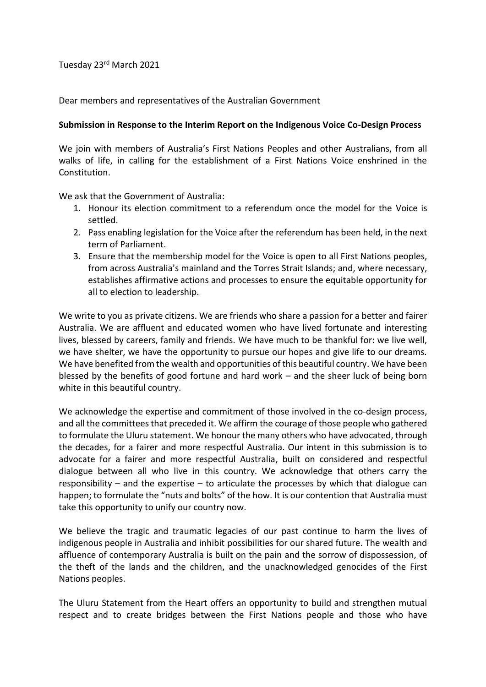Tuesday 23rd March 2021

Dear members and representatives of the Australian Government

## **Submission in Response to the Interim Report on the Indigenous Voice Co-Design Process**

We join with members of Australia's First Nations Peoples and other Australians, from all walks of life, in calling for the establishment of a First Nations Voice enshrined in the Constitution.

We ask that the Government of Australia:

- 1. Honour its election commitment to a referendum once the model for the Voice is settled.
- 2. Pass enabling legislation for the Voice after the referendum has been held, in the next term of Parliament.
- 3. Ensure that the membership model for the Voice is open to all First Nations peoples, from across Australia's mainland and the Torres Strait Islands; and, where necessary, establishes affirmative actions and processes to ensure the equitable opportunity for all to election to leadership.

We write to you as private citizens. We are friends who share a passion for a better and fairer Australia. We are affluent and educated women who have lived fortunate and interesting lives, blessed by careers, family and friends. We have much to be thankful for: we live well, we have shelter, we have the opportunity to pursue our hopes and give life to our dreams. We have benefited from the wealth and opportunities of this beautiful country. We have been blessed by the benefits of good fortune and hard work – and the sheer luck of being born white in this beautiful country.

We acknowledge the expertise and commitment of those involved in the co-design process, and all the committees that preceded it. We affirm the courage of those people who gathered to formulate the Uluru statement. We honour the many others who have advocated, through the decades, for a fairer and more respectful Australia. Our intent in this submission is to advocate for a fairer and more respectful Australia, built on considered and respectful dialogue between all who live in this country. We acknowledge that others carry the responsibility – and the expertise – to articulate the processes by which that dialogue can happen; to formulate the "nuts and bolts" of the how. It is our contention that Australia must take this opportunity to unify our country now.

We believe the tragic and traumatic legacies of our past continue to harm the lives of indigenous people in Australia and inhibit possibilities for our shared future. The wealth and affluence of contemporary Australia is built on the pain and the sorrow of dispossession, of the theft of the lands and the children, and the unacknowledged genocides of the First Nations peoples.

The Uluru Statement from the Heart offers an opportunity to build and strengthen mutual respect and to create bridges between the First Nations people and those who have